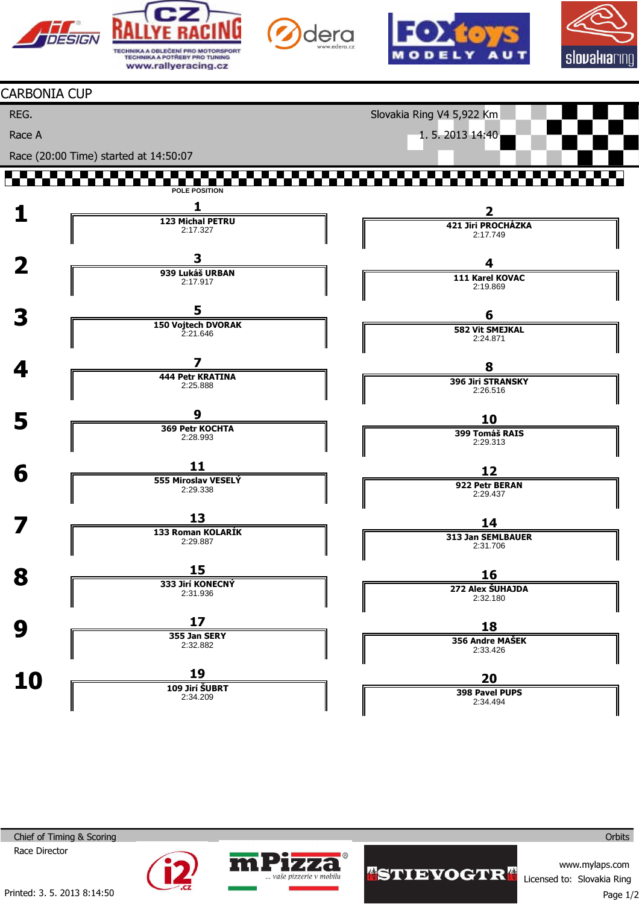









## CARBONIA CUP

REG.

Race A

Slovakia Ring V4 5,922 Km

1. 5. 2013 14:40

Race (20:00 Time) started at 14:50:07

## T. T. T. T **POLE POSITION**



aše pizzerie v mobilu



Printed: 3. 5. 2013 8:14:50

**WISTIEYOGTRA** 

www.mylaps.com Licensed to: Slovakia Ring

**Orbits**